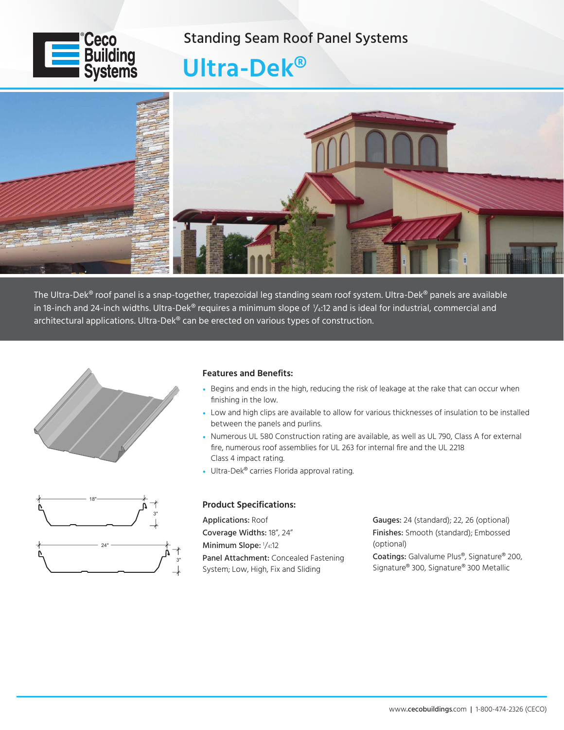### Standing Seam Roof Panel Systems



# **Ultra-Dek®**



The Ultra-Dek® roof panel is a snap-together, trapezoidal leg standing seam roof system. Ultra-Dek® panels are available in 18-inch and 24-inch widths. Ultra-Dek® requires a minimum slope of ¼:12 and is ideal for industrial, commercial and architectural applications. Ultra-Dek® can be erected on various types of construction.



### **Features and Benefits:**

- Begins and ends in the high, reducing the risk of leakage at the rake that can occur when finishing in the low.
- Low and high clips are available to allow for various thicknesses of insulation to be installed between the panels and purlins.
- Numerous UL 580 Construction rating are available, as well as UL 790, Class A for external fire, numerous roof assemblies for UL 263 for internal fire and the UL 2218 Class 4 impact rating.
- Ultra-Dek® carries Florida approval rating.

## 18" 3" 24" 3"

#### **Product Specifications:**

Applications: Roof Coverage Widths: 18", 24" Minimum Slope: <sup>1</sup> /4:12 Panel Attachment: Concealed Fastening System; Low, High, Fix and Sliding

Gauges: 24 (standard); 22, 26 (optional) Finishes: Smooth (standard); Embossed (optional) Coatings: Galvalume Plus®, Signature® 200, Signature® 300, Signature® 300 Metallic